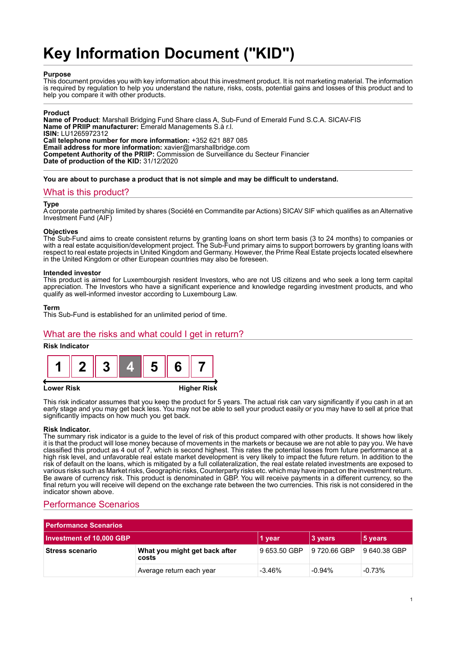# **Key Information Document ("KID")**

#### **Purpose**

This document provides you with key information about this investment product. It is not marketing material. The information is required by regulation to help you understand the nature, risks, costs, potential gains and losses of this product and to help you compare it with other products.

#### **Product**

**Name of Product**: Marshall Bridging Fund Share class A, Sub-Fund of Emerald Fund S.C.A. SICAV-FIS **Name of PRIIP manufacturer:** Emerald Managements S.à r.l. **ISIN:** LU1265972312 **Call telephone number for more information:** +352 621 887 085 **Email address for more information:** xavier@marshallbridge.com **Competent Authority of the PRIIP:** Commission de Surveillance du Secteur Financier **Date of production of the KID:** 31/12/2020

**You are about to purchase a product that is not simple and may be difficult to understand.**

### What is this product?

#### **Type**

A corporate partnership limited by shares (Société en Commandite par Actions) SICAV SIF which qualifies as an Alternative Investment Fund (AIF)

#### **Objectives**

The Sub-Fund aims to create consistent returns by granting loans on short term basis (3 to 24 months) to companies or with a real estate acquisition/development project. The Sub-Fund primary aims to support borrowers by granting loans with respect to real estate projects in United Kingdom and Germany. However, the Prime Real Estate projects located elsewhere in the United Kingdom or other European countries may also be foreseen.

#### **Intended investor**

This product is aimed for Luxembourgish resident Investors, who are not US citizens and who seek a long term capital appreciation. The Investors who have a significant experience and knowledge regarding investment products, and who qualify as well-informed investor according to Luxembourg Law.

#### **Term**

This Sub-Fund is established for an unlimited period of time.

## What are the risks and what could I get in return?

#### **Risk Indicator**



#### **Lower Risk Higher Risk**

This risk indicator assumes that you keep the product for 5 years. The actual risk can vary significantly if you cash in at an early stage and you may get back less. You may not be able to sell your product easily or you may have to sell at price that significantly impacts on how much you get back.

#### **Risk Indicator.**

The summary risk indicator is a guide to the level of risk of this product compared with other products. It shows how likely it is that the product will lose money because of movements in the markets or because we are not able to pay you. We have classified this product as 4 out of 7, which is second highest. This rates the potential losses from future performance at a high risk level, and unfavorable real estate market development is very likely to impact the future return. In addition to the risk of default on the loans, which is mitigated by a full collateralization, the real estate related investments are exposed to various risks such as Market risks, Geographic risks, Counterparty risks etc. which may have impact on the investment return. Be aware of currency risk. This product is denominated in GBP. You will receive payments in a different currency, so the final return you will receive will depend on the exchange rate between the two currencies. This risk is not considered in the indicator shown above.

# Performance Scenarios

| <b>Performance Scenarios</b> |                                        |              |              |              |
|------------------------------|----------------------------------------|--------------|--------------|--------------|
| Investment of 10,000 GBP     |                                        | 1 year       | 3 years      | 5 years      |
| <b>Stress scenario</b>       | What you might get back after<br>costs | 9 653.50 GBP | 9 720.66 GBP | 9 640.38 GBP |
|                              | Average return each year               | $-3.46%$     | $-0.94\%$    | $-0.73%$     |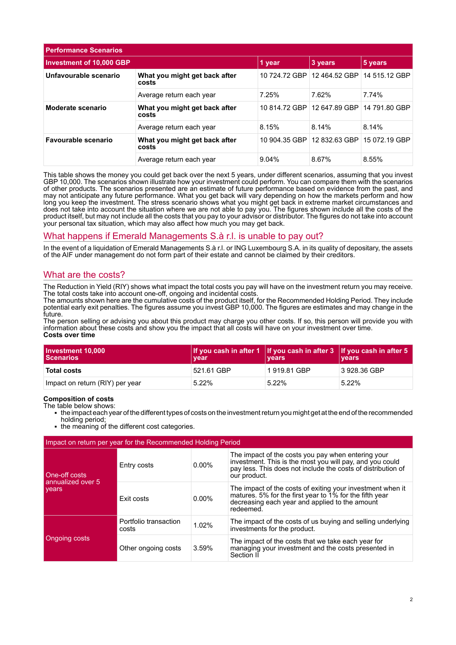| <b>Performance Scenarios</b>    |                                        |               |               |               |
|---------------------------------|----------------------------------------|---------------|---------------|---------------|
| <b>Investment of 10,000 GBP</b> |                                        | 1 year        | 3 years       | 5 years       |
| Unfavourable scenario           | What you might get back after<br>costs | 10 724.72 GBP | 12 464.52 GBP | 14 515.12 GBP |
|                                 | Average return each year               | 7.25%         | 7.62%         | 7.74%         |
| Moderate scenario               | What you might get back after<br>costs | 10 814.72 GBP | 12 647.89 GBP | 14 791.80 GBP |
|                                 | Average return each year               | 8.15%         | 8.14%         | 8.14%         |
| Favourable scenario             | What you might get back after<br>costs | 10 904.35 GBP | 12 832.63 GBP | 15 072.19 GBP |
|                                 | Average return each year               | 9.04%         | 8.67%         | 8.55%         |

This table shows the money you could get back over the next 5 years, under different scenarios, assuming that you invest GBP 10,000. The scenarios shown illustrate how your investment could perform. You can compare them with the scenarios of other products. The scenarios presented are an estimate of future performance based on evidence from the past, and may not anticipate any future performance. What you get back will vary depending on how the markets perform and how long you keep the investment. The stress scenario shows what you might get back in extreme market circumstances and does not take into account the situation where we are not able to pay you. The figures shown include all the costs of the product itself, but may not include all the costs that you pay to your advisor or distributor. The figures do not take into account your personal tax situation, which may also affect how much you may get back.

## What happens if Emerald Managements S.à r.l. is unable to pay out?

In the event of a liquidation of Emerald Managements S.à r.l. or ING Luxembourg S.A. in its quality of depositary, the assets of the AIF under management do not form part of their estate and cannot be claimed by their creditors.

## What are the costs?

The Reduction in Yield (RIY) shows what impact the total costs you pay will have on the investment return you may receive. The total costs take into account one-off, ongoing and incidental costs.

The amounts shown here are the cumulative costs of the product itself, for the Recommended Holding Period. They include potential early exit penalties. The figures assume you invest GBP 10,000. The figures are estimates and may change in the future.

The person selling or advising you about this product may charge you other costs. If so, this person will provide you with information about these costs and show you the impact that all costs will have on your investment over time. **Costs over time**

| Investment 10,000<br><b>Scenarios</b> | If you cash in after 1 If you cash in after $3$ If you cash in after 5<br>vear | <b>vears</b> | <b>vears</b> |
|---------------------------------------|--------------------------------------------------------------------------------|--------------|--------------|
| <b>Total costs</b>                    | 521.61 GBP                                                                     | 1919.81 GBP  | 3 928.36 GBP |
| Impact on return (RIY) per year       | $5.22\%$                                                                       | $5.22\%$     | $5.22\%$     |

#### **Composition of costs**

The table below shows:

- 1 the impact each year of the different types of costs on the investment return you might get at the end of the recommended holding period;
- the meaning of the different cost categories.

| Impact on return per year for the Recommended Holding Period |                                |          |                                                                                                                                                                                                |  |
|--------------------------------------------------------------|--------------------------------|----------|------------------------------------------------------------------------------------------------------------------------------------------------------------------------------------------------|--|
| One-off costs<br>annualized over 5<br>vears                  | Entry costs                    | $0.00\%$ | The impact of the costs you pay when entering your<br>investment. This is the most you will pay, and you could<br>pay less. This does not include the costs of distribution of<br>our product. |  |
|                                                              | Exit costs                     | $0.00\%$ | The impact of the costs of exiting your investment when it<br>matures. 5% for the first year to 1% for the fifth year<br>decreasing each year and applied to the amount<br>redeemed.           |  |
| Ongoing costs                                                | Portfolio transaction<br>costs | 1.02%    | The impact of the costs of us buying and selling underlying<br>investments for the product.                                                                                                    |  |
|                                                              | Other ongoing costs            | 3.59%    | The impact of the costs that we take each year for<br>managing your investment and the costs presented in<br>Section II                                                                        |  |